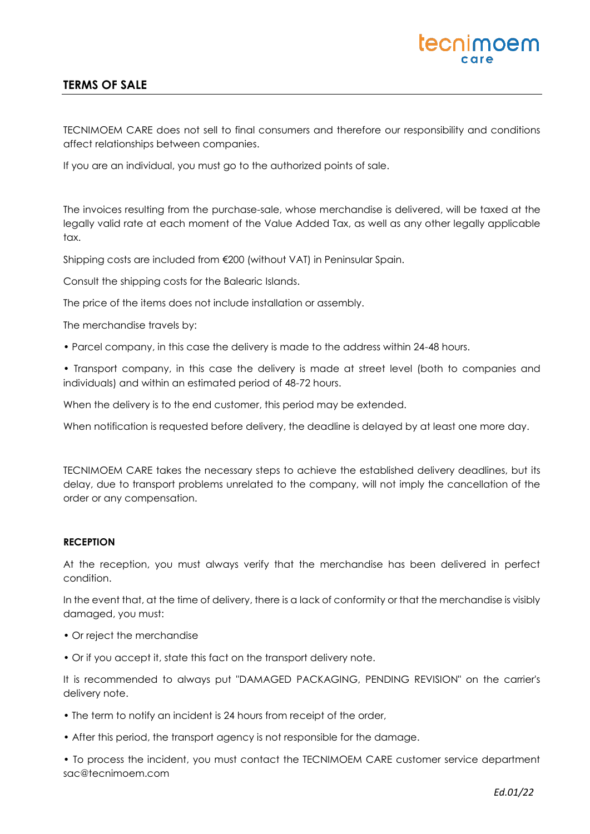# tecnimoem

## **TERMS OF SALE**

TECNIMOEM CARE does not sell to final consumers and therefore our responsibility and conditions affect relationships between companies.

If you are an individual, you must go to the authorized points of sale.

The invoices resulting from the purchase-sale, whose merchandise is delivered, will be taxed at the legally valid rate at each moment of the Value Added Tax, as well as any other legally applicable tax.

Shipping costs are included from €200 (without VAT) in Peninsular Spain.

Consult the shipping costs for the Balearic Islands.

The price of the items does not include installation or assembly.

The merchandise travels by:

• Parcel company, in this case the delivery is made to the address within 24-48 hours.

• Transport company, in this case the delivery is made at street level (both to companies and individuals) and within an estimated period of 48-72 hours.

When the delivery is to the end customer, this period may be extended.

When notification is requested before delivery, the deadline is delayed by at least one more day.

TECNIMOEM CARE takes the necessary steps to achieve the established delivery deadlines, but its delay, due to transport problems unrelated to the company, will not imply the cancellation of the order or any compensation.

#### **RECEPTION**

At the reception, you must always verify that the merchandise has been delivered in perfect condition.

In the event that, at the time of delivery, there is a lack of conformity or that the merchandise is visibly damaged, you must:

- Or reject the merchandise
- Or if you accept it, state this fact on the transport delivery note.

It is recommended to always put "DAMAGED PACKAGING, PENDING REVISION" on the carrier's delivery note.

- The term to notify an incident is 24 hours from receipt of the order,
- After this period, the transport agency is not responsible for the damage.

• To process the incident, you must contact the TECNIMOEM CARE customer service department sac@tecnimoem.com